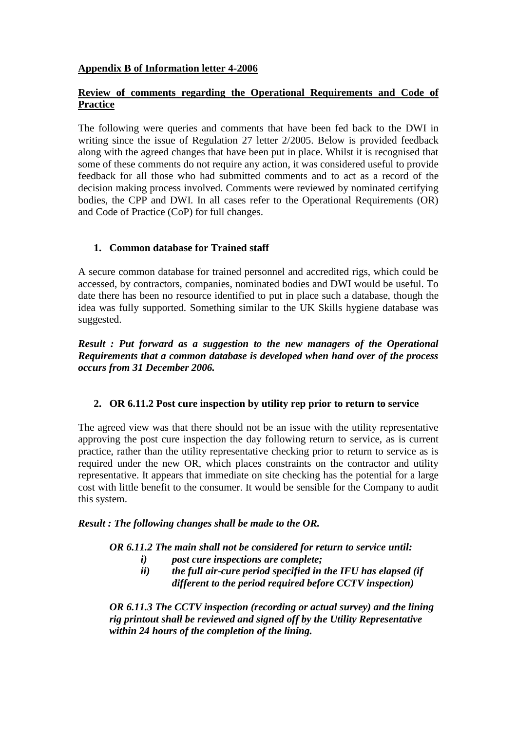### **Appendix B of Information letter 4-2006**

### **Review of comments regarding the Operational Requirements and Code of Practice**

The following were queries and comments that have been fed back to the DWI in writing since the issue of Regulation 27 letter 2/2005. Below is provided feedback along with the agreed changes that have been put in place. Whilst it is recognised that some of these comments do not require any action, it was considered useful to provide feedback for all those who had submitted comments and to act as a record of the decision making process involved. Comments were reviewed by nominated certifying bodies, the CPP and DWI. In all cases refer to the Operational Requirements (OR) and Code of Practice (CoP) for full changes.

## **1. Common database for Trained staff**

A secure common database for trained personnel and accredited rigs, which could be accessed, by contractors, companies, nominated bodies and DWI would be useful. To date there has been no resource identified to put in place such a database, though the idea was fully supported. Something similar to the UK Skills hygiene database was suggested.

*Result : Put forward as a suggestion to the new managers of the Operational Requirements that a common database is developed when hand over of the process occurs from 31 December 2006.* 

## **2. OR 6.11.2 Post cure inspection by utility rep prior to return to service**

The agreed view was that there should not be an issue with the utility representative approving the post cure inspection the day following return to service, as is current practice, rather than the utility representative checking prior to return to service as is required under the new OR, which places constraints on the contractor and utility representative. It appears that immediate on site checking has the potential for a large cost with little benefit to the consumer. It would be sensible for the Company to audit this system.

#### *Result : The following changes shall be made to the OR.*

*OR 6.11.2 The main shall not be considered for return to service until:*

- *i) post cure inspections are complete;*
- *ii) the full air-cure period specified in the IFU has elapsed (if different to the period required before CCTV inspection)*

*OR 6.11.3 The CCTV inspection (recording or actual survey) and the lining rig printout shall be reviewed and signed off by the Utility Representative within 24 hours of the completion of the lining.*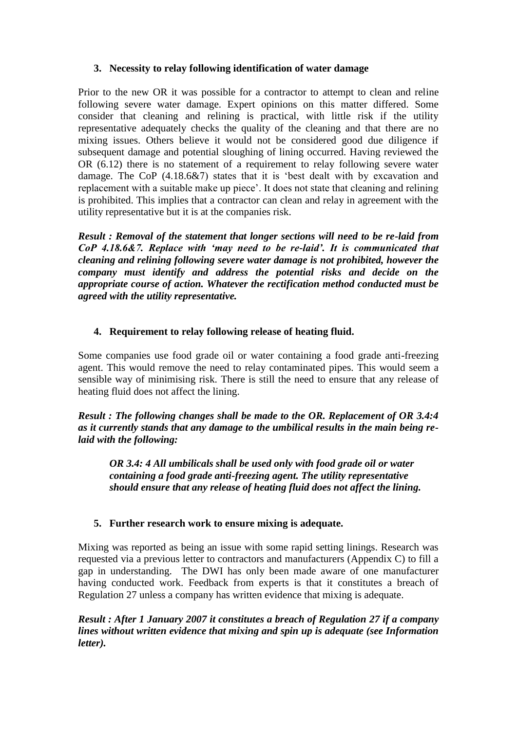## **3. Necessity to relay following identification of water damage**

Prior to the new OR it was possible for a contractor to attempt to clean and reline following severe water damage. Expert opinions on this matter differed. Some consider that cleaning and relining is practical, with little risk if the utility representative adequately checks the quality of the cleaning and that there are no mixing issues. Others believe it would not be considered good due diligence if subsequent damage and potential sloughing of lining occurred. Having reviewed the OR (6.12) there is no statement of a requirement to relay following severe water damage. The CoP (4.18.6&7) states that it is 'best dealt with by excavation and replacement with a suitable make up piece'. It does not state that cleaning and relining is prohibited. This implies that a contractor can clean and relay in agreement with the utility representative but it is at the companies risk.

*Result : Removal of the statement that longer sections will need to be re-laid from CoP 4.18.6&7. Replace with 'may need to be re-laid'. It is communicated that cleaning and relining following severe water damage is not prohibited, however the company must identify and address the potential risks and decide on the appropriate course of action. Whatever the rectification method conducted must be agreed with the utility representative.* 

## **4. Requirement to relay following release of heating fluid.**

Some companies use food grade oil or water containing a food grade anti-freezing agent. This would remove the need to relay contaminated pipes. This would seem a sensible way of minimising risk. There is still the need to ensure that any release of heating fluid does not affect the lining.

*Result : The following changes shall be made to the OR. Replacement of OR 3.4:4 as it currently stands that any damage to the umbilical results in the main being relaid with the following:*

*OR 3.4: 4 All umbilicals shall be used only with food grade oil or water containing a food grade anti-freezing agent. The utility representative should ensure that any release of heating fluid does not affect the lining.*

## **5. Further research work to ensure mixing is adequate.**

Mixing was reported as being an issue with some rapid setting linings. Research was requested via a previous letter to contractors and manufacturers (Appendix C) to fill a gap in understanding.The DWI has only been made aware of one manufacturer having conducted work. Feedback from experts is that it constitutes a breach of Regulation 27 unless a company has written evidence that mixing is adequate.

*Result : After 1 January 2007 it constitutes a breach of Regulation 27 if a company lines without written evidence that mixing and spin up is adequate (see Information letter).*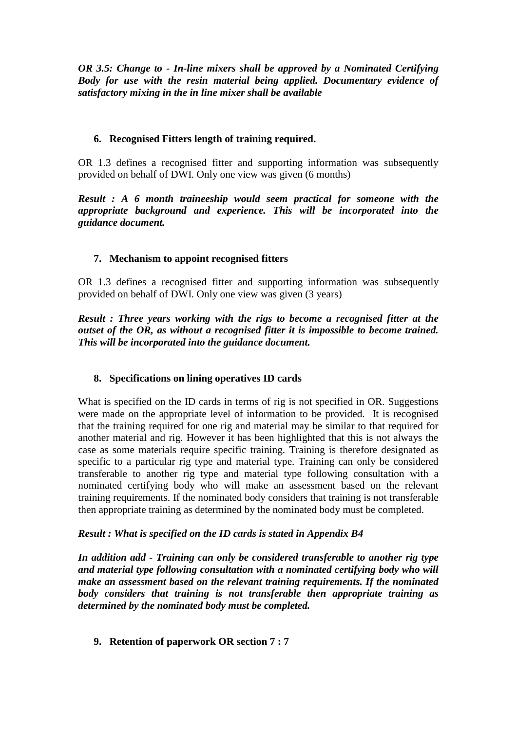*OR 3.5: Change to - In-line mixers shall be approved by a Nominated Certifying Body for use with the resin material being applied. Documentary evidence of satisfactory mixing in the in line mixer shall be available*

# **6. Recognised Fitters length of training required.**

OR 1.3 defines a recognised fitter and supporting information was subsequently provided on behalf of DWI. Only one view was given (6 months)

*Result : A 6 month traineeship would seem practical for someone with the appropriate background and experience. This will be incorporated into the guidance document.*

# **7. Mechanism to appoint recognised fitters**

OR 1.3 defines a recognised fitter and supporting information was subsequently provided on behalf of DWI. Only one view was given (3 years)

*Result : Three years working with the rigs to become a recognised fitter at the outset of the OR, as without a recognised fitter it is impossible to become trained. This will be incorporated into the guidance document.*

## **8. Specifications on lining operatives ID cards**

What is specified on the ID cards in terms of rig is not specified in OR. Suggestions were made on the appropriate level of information to be provided. It is recognised that the training required for one rig and material may be similar to that required for another material and rig. However it has been highlighted that this is not always the case as some materials require specific training. Training is therefore designated as specific to a particular rig type and material type. Training can only be considered transferable to another rig type and material type following consultation with a nominated certifying body who will make an assessment based on the relevant training requirements. If the nominated body considers that training is not transferable then appropriate training as determined by the nominated body must be completed.

## *Result : What is specified on the ID cards is stated in Appendix B4*

*In addition add - Training can only be considered transferable to another rig type and material type following consultation with a nominated certifying body who will make an assessment based on the relevant training requirements. If the nominated body considers that training is not transferable then appropriate training as determined by the nominated body must be completed.*

## **9. Retention of paperwork OR section 7 : 7**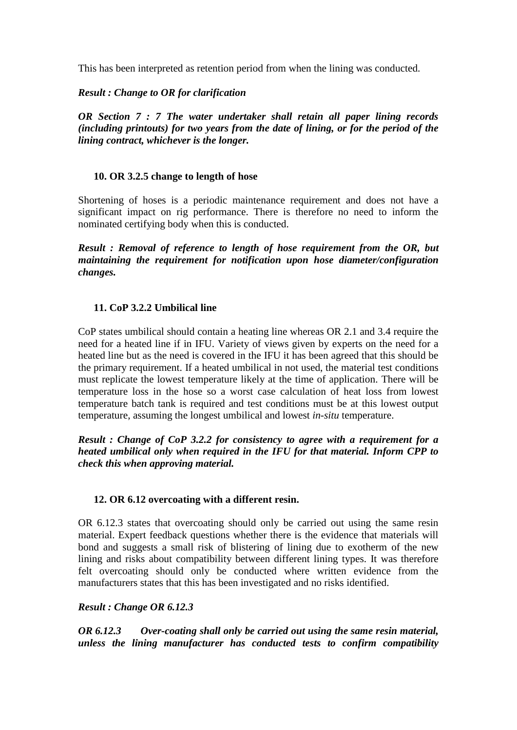This has been interpreted as retention period from when the lining was conducted.

*Result : Change to OR for clarification*

*OR Section 7 : 7 The water undertaker shall retain all paper lining records (including printouts) for two years from the date of lining, or for the period of the lining contract, whichever is the longer.*

### **10. OR 3.2.5 change to length of hose**

Shortening of hoses is a periodic maintenance requirement and does not have a significant impact on rig performance. There is therefore no need to inform the nominated certifying body when this is conducted.

*Result : Removal of reference to length of hose requirement from the OR, but maintaining the requirement for notification upon hose diameter/configuration changes.*

### **11. CoP 3.2.2 Umbilical line**

CoP states umbilical should contain a heating line whereas OR 2.1 and 3.4 require the need for a heated line if in IFU. Variety of views given by experts on the need for a heated line but as the need is covered in the IFU it has been agreed that this should be the primary requirement. If a heated umbilical in not used, the material test conditions must replicate the lowest temperature likely at the time of application. There will be temperature loss in the hose so a worst case calculation of heat loss from lowest temperature batch tank is required and test conditions must be at this lowest output temperature, assuming the longest umbilical and lowest *in-situ* temperature.

*Result : Change of CoP 3.2.2 for consistency to agree with a requirement for a heated umbilical only when required in the IFU for that material. Inform CPP to check this when approving material.*

#### **12. OR 6.12 overcoating with a different resin.**

OR 6.12.3 states that overcoating should only be carried out using the same resin material. Expert feedback questions whether there is the evidence that materials will bond and suggests a small risk of blistering of lining due to exotherm of the new lining and risks about compatibility between different lining types. It was therefore felt overcoating should only be conducted where written evidence from the manufacturers states that this has been investigated and no risks identified.

#### *Result : Change OR 6.12.3*

*OR 6.12.3 Over-coating shall only be carried out using the same resin material, unless the lining manufacturer has conducted tests to confirm compatibility*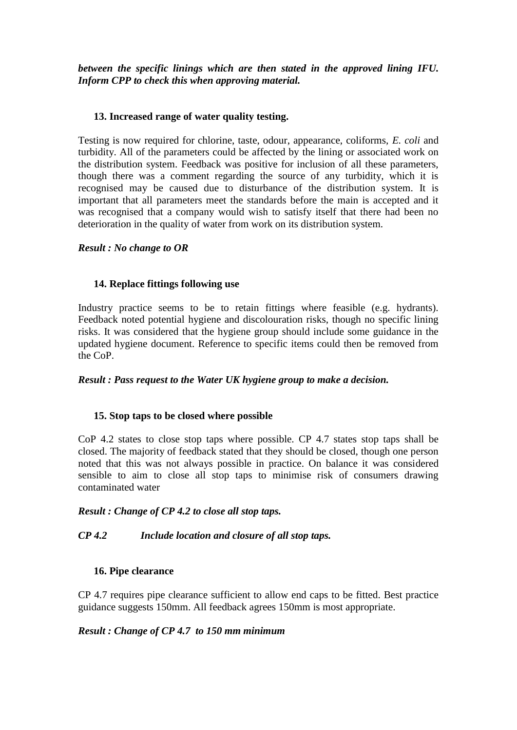*between the specific linings which are then stated in the approved lining IFU. Inform CPP to check this when approving material.*

### **13. Increased range of water quality testing.**

Testing is now required for chlorine, taste, odour, appearance, coliforms, *E. coli* and turbidity. All of the parameters could be affected by the lining or associated work on the distribution system. Feedback was positive for inclusion of all these parameters, though there was a comment regarding the source of any turbidity, which it is recognised may be caused due to disturbance of the distribution system. It is important that all parameters meet the standards before the main is accepted and it was recognised that a company would wish to satisfy itself that there had been no deterioration in the quality of water from work on its distribution system.

### *Result : No change to OR*

### **14. Replace fittings following use**

Industry practice seems to be to retain fittings where feasible (e.g. hydrants). Feedback noted potential hygiene and discolouration risks, though no specific lining risks. It was considered that the hygiene group should include some guidance in the updated hygiene document. Reference to specific items could then be removed from the CoP.

#### *Result : Pass request to the Water UK hygiene group to make a decision.*

#### **15. Stop taps to be closed where possible**

CoP 4.2 states to close stop taps where possible. CP 4.7 states stop taps shall be closed. The majority of feedback stated that they should be closed, though one person noted that this was not always possible in practice. On balance it was considered sensible to aim to close all stop taps to minimise risk of consumers drawing contaminated water

#### *Result : Change of CP 4.2 to close all stop taps.*

## *CP 4.2 Include location and closure of all stop taps.*

## **16. Pipe clearance**

CP 4.7 requires pipe clearance sufficient to allow end caps to be fitted. Best practice guidance suggests 150mm. All feedback agrees 150mm is most appropriate.

#### *Result : Change of CP 4.7 to 150 mm minimum*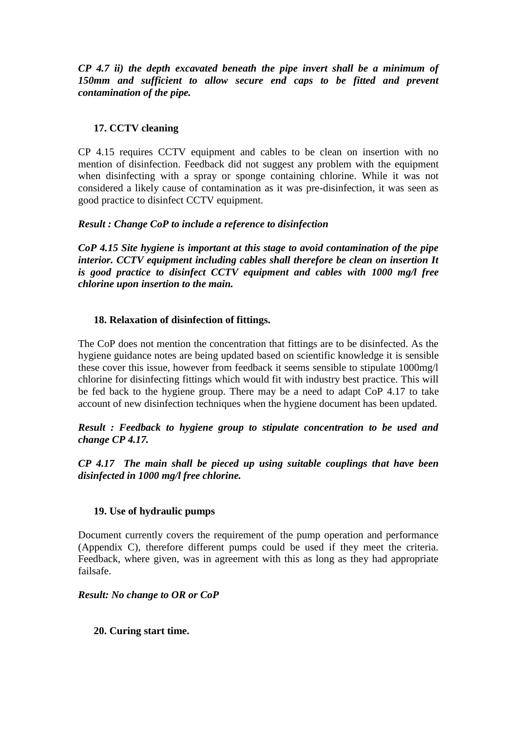*CP 4.7 ii) the depth excavated beneath the pipe invert shall be a minimum of 150mm and sufficient to allow secure end caps to be fitted and prevent contamination of the pipe.*

# **17. CCTV cleaning**

CP 4.15 requires CCTV equipment and cables to be clean on insertion with no mention of disinfection. Feedback did not suggest any problem with the equipment when disinfecting with a spray or sponge containing chlorine. While it was not considered a likely cause of contamination as it was pre-disinfection, it was seen as good practice to disinfect CCTV equipment.

## *Result : Change CoP to include a reference to disinfection*

*CoP 4.15 Site hygiene is important at this stage to avoid contamination of the pipe interior. CCTV equipment including cables shall therefore be clean on insertion It is good practice to disinfect CCTV equipment and cables with 1000 mg/l free chlorine upon insertion to the main.*

## **18. Relaxation of disinfection of fittings.**

The CoP does not mention the concentration that fittings are to be disinfected. As the hygiene guidance notes are being updated based on scientific knowledge it is sensible these cover this issue, however from feedback it seems sensible to stipulate 1000mg/l chlorine for disinfecting fittings which would fit with industry best practice. This will be fed back to the hygiene group. There may be a need to adapt CoP 4.17 to take account of new disinfection techniques when the hygiene document has been updated.

*Result : Feedback to hygiene group to stipulate concentration to be used and change CP 4.17.* 

*CP 4.17 The main shall be pieced up using suitable couplings that have been disinfected in 1000 mg/l free chlorine.* 

#### **19. Use of hydraulic pumps**

Document currently covers the requirement of the pump operation and performance (Appendix C), therefore different pumps could be used if they meet the criteria. Feedback, where given, was in agreement with this as long as they had appropriate failsafe.

#### *Result: No change to OR or CoP*

#### **20. Curing start time.**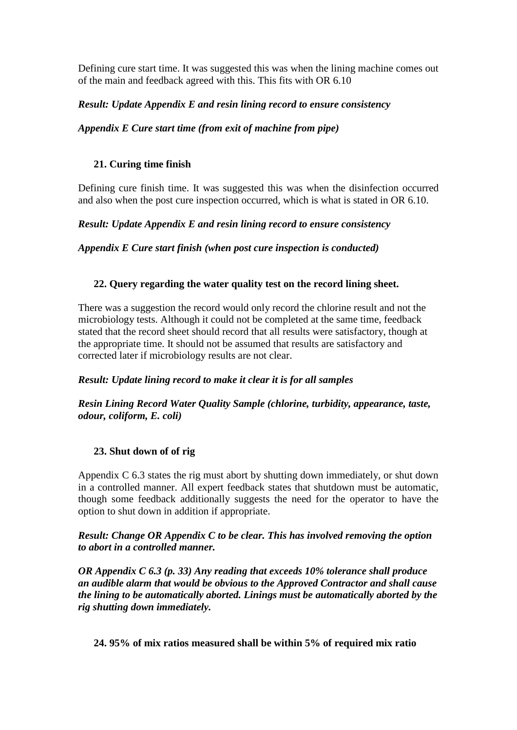Defining cure start time. It was suggested this was when the lining machine comes out of the main and feedback agreed with this. This fits with OR 6.10

## *Result: Update Appendix E and resin lining record to ensure consistency*

## *Appendix E Cure start time (from exit of machine from pipe)*

### **21. Curing time finish**

Defining cure finish time. It was suggested this was when the disinfection occurred and also when the post cure inspection occurred, which is what is stated in OR 6.10.

### *Result: Update Appendix E and resin lining record to ensure consistency*

*Appendix E Cure start finish (when post cure inspection is conducted)*

### **22. Query regarding the water quality test on the record lining sheet.**

There was a suggestion the record would only record the chlorine result and not the microbiology tests. Although it could not be completed at the same time, feedback stated that the record sheet should record that all results were satisfactory, though at the appropriate time. It should not be assumed that results are satisfactory and corrected later if microbiology results are not clear.

## *Result: Update lining record to make it clear it is for all samples*

*Resin Lining Record Water Quality Sample (chlorine, turbidity, appearance, taste, odour, coliform, E. coli)*

## **23. Shut down of of rig**

Appendix C 6.3 states the rig must abort by shutting down immediately, or shut down in a controlled manner. All expert feedback states that shutdown must be automatic, though some feedback additionally suggests the need for the operator to have the option to shut down in addition if appropriate.

### *Result: Change OR Appendix C to be clear. This has involved removing the option to abort in a controlled manner.*

*OR Appendix C 6.3 (p. 33) Any reading that exceeds 10% tolerance shall produce an audible alarm that would be obvious to the Approved Contractor and shall cause the lining to be automatically aborted. Linings must be automatically aborted by the rig shutting down immediately.*

#### **24. 95% of mix ratios measured shall be within 5% of required mix ratio**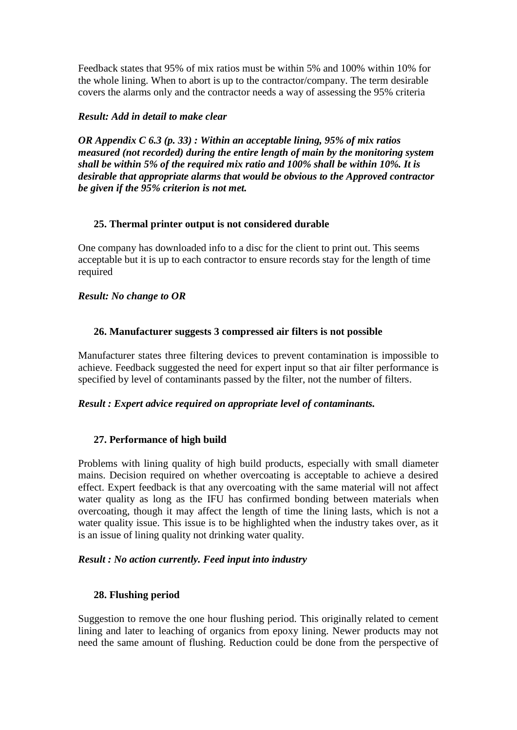Feedback states that 95% of mix ratios must be within 5% and 100% within 10% for the whole lining. When to abort is up to the contractor/company. The term desirable covers the alarms only and the contractor needs a way of assessing the 95% criteria

#### *Result: Add in detail to make clear*

*OR Appendix C 6.3 (p. 33) : Within an acceptable lining, 95% of mix ratios measured (not recorded) during the entire length of main by the monitoring system shall be within 5% of the required mix ratio and 100% shall be within 10%. It is desirable that appropriate alarms that would be obvious to the Approved contractor be given if the 95% criterion is not met.* 

### **25. Thermal printer output is not considered durable**

One company has downloaded info to a disc for the client to print out. This seems acceptable but it is up to each contractor to ensure records stay for the length of time required

#### *Result: No change to OR*

### **26. Manufacturer suggests 3 compressed air filters is not possible**

Manufacturer states three filtering devices to prevent contamination is impossible to achieve. Feedback suggested the need for expert input so that air filter performance is specified by level of contaminants passed by the filter, not the number of filters.

#### *Result : Expert advice required on appropriate level of contaminants.*

## **27. Performance of high build**

Problems with lining quality of high build products, especially with small diameter mains. Decision required on whether overcoating is acceptable to achieve a desired effect. Expert feedback is that any overcoating with the same material will not affect water quality as long as the IFU has confirmed bonding between materials when overcoating, though it may affect the length of time the lining lasts, which is not a water quality issue. This issue is to be highlighted when the industry takes over, as it is an issue of lining quality not drinking water quality.

#### *Result : No action currently. Feed input into industry*

## **28. Flushing period**

Suggestion to remove the one hour flushing period. This originally related to cement lining and later to leaching of organics from epoxy lining. Newer products may not need the same amount of flushing. Reduction could be done from the perspective of